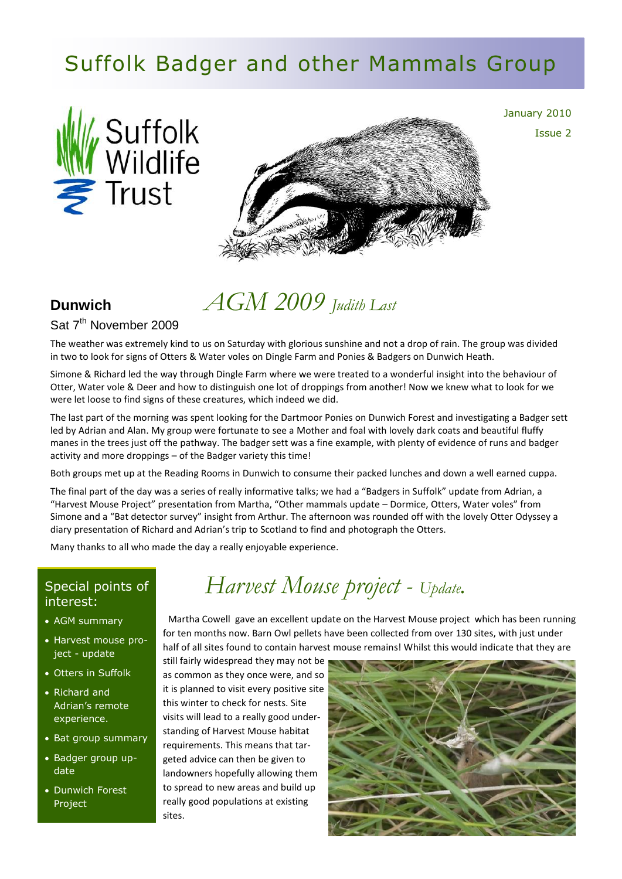# Suffolk Badger and other Mammals Group





January 2010 Issue 2

# *AGM 2009 Judith Last*

#### Sat 7<sup>th</sup> November 2009

**Dunwich**

The weather was extremely kind to us on Saturday with glorious sunshine and not a drop of rain. The group was divided in two to look for signs of Otters & Water voles on Dingle Farm and Ponies & Badgers on Dunwich Heath.

Simone & Richard led the way through Dingle Farm where we were treated to a wonderful insight into the behaviour of Otter, Water vole & Deer and how to distinguish one lot of droppings from another! Now we knew what to look for we were let loose to find signs of these creatures, which indeed we did.

The last part of the morning was spent looking for the Dartmoor Ponies on Dunwich Forest and investigating a Badger sett led by Adrian and Alan. My group were fortunate to see a Mother and foal with lovely dark coats and beautiful fluffy manes in the trees just off the pathway. The badger sett was a fine example, with plenty of evidence of runs and badger activity and more droppings – of the Badger variety this time!

Both groups met up at the Reading Rooms in Dunwich to consume their packed lunches and down a well earned cuppa.

The final part of the day was a series of really informative talks; we had a "Badgers in Suffolk" update from Adrian, a "Harvest Mouse Project" presentation from Martha, "Other mammals update – Dormice, Otters, Water voles" from Simone and a "Bat detector survey" insight from Arthur. The afternoon was rounded off with the lovely Otter Odyssey a diary presentation of Richard and Adrian's trip to Scotland to find and photograph the Otters.

*Harvest Mouse project - Update.*

Many thanks to all who made the day a really enjoyable experience.

#### Special points of interest:

- AGM summary
- Harvest mouse project - update
- Otters in Suffolk
- Richard and Adrian's remote experience.
- Bat group summary
- Badger group update
- Dunwich Forest Project

 Martha Cowell gave an excellent update on the Harvest Mouse project which has been running for ten months now. Barn Owl pellets have been collected from over 130 sites, with just under half of all sites found to contain harvest mouse remains! Whilst this would indicate that they are

still fairly widespread they may not be as common as they once were, and so it is planned to visit every positive site this winter to check for nests. Site visits will lead to a really good understanding of Harvest Mouse habitat requirements. This means that targeted advice can then be given to landowners hopefully allowing them to spread to new areas and build up really good populations at existing sites.

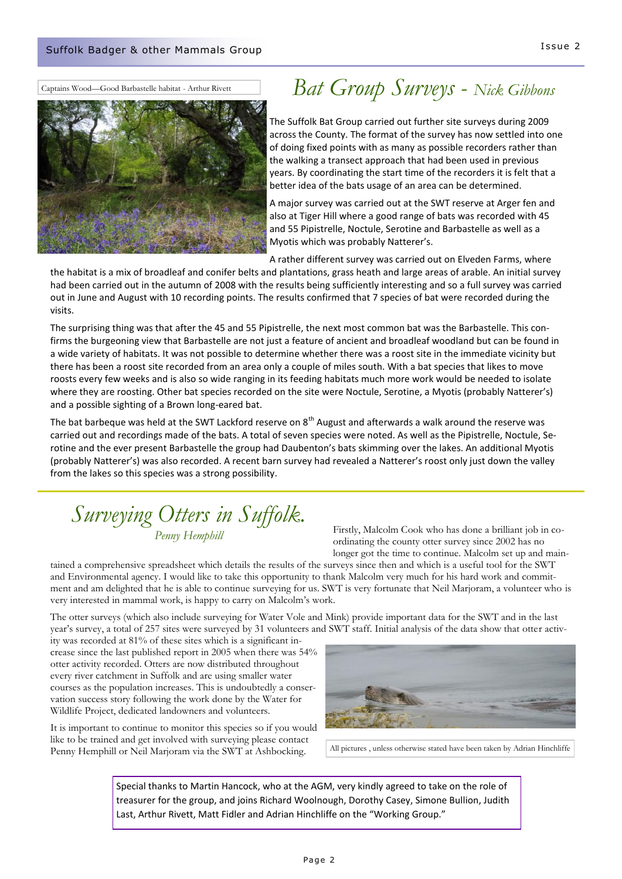Captains Wood—Good Barbastelle habitat - Arthur Rivett



### *Bat Group Surveys - Nick Gibbons*

The Suffolk Bat Group carried out further site surveys during 2009 across the County. The format of the survey has now settled into one of doing fixed points with as many as possible recorders rather than the walking a transect approach that had been used in previous years. By coordinating the start time of the recorders it is felt that a better idea of the bats usage of an area can be determined.

A major survey was carried out at the SWT reserve at Arger fen and also at Tiger Hill where a good range of bats was recorded with 45 and 55 Pipistrelle, Noctule, Serotine and Barbastelle as well as a Myotis which was probably Natterer's.

A rather different survey was carried out on Elveden Farms, where

the habitat is a mix of broadleaf and conifer belts and plantations, grass heath and large areas of arable. An initial survey had been carried out in the autumn of 2008 with the results being sufficiently interesting and so a full survey was carried out in June and August with 10 recording points. The results confirmed that 7 species of bat were recorded during the visits.

The surprising thing was that after the 45 and 55 Pipistrelle, the next most common bat was the Barbastelle. This confirms the burgeoning view that Barbastelle are not just a feature of ancient and broadleaf woodland but can be found in a wide variety of habitats. It was not possible to determine whether there was a roost site in the immediate vicinity but there has been a roost site recorded from an area only a couple of miles south. With a bat species that likes to move roosts every few weeks and is also so wide ranging in its feeding habitats much more work would be needed to isolate where they are roosting. Other bat species recorded on the site were Noctule, Serotine, a Myotis (probably Natterer's) and a possible sighting of a Brown long-eared bat.

The bat barbeque was held at the SWT Lackford reserve on 8<sup>th</sup> August and afterwards a walk around the reserve was carried out and recordings made of the bats. A total of seven species were noted. As well as the Pipistrelle, Noctule, Serotine and the ever present Barbastelle the group had Daubenton's bats skimming over the lakes. An additional Myotis (probably Natterer's) was also recorded. A recent barn survey had revealed a Natterer's roost only just down the valley from the lakes so this species was a strong possibility.

#### *Surveying Otters in Suffolk. Penny Hemphill*

Firstly, Malcolm Cook who has done a brilliant job in coordinating the county otter survey since 2002 has no longer got the time to continue. Malcolm set up and main-

tained a comprehensive spreadsheet which details the results of the surveys since then and which is a useful tool for the SWT and Environmental agency. I would like to take this opportunity to thank Malcolm very much for his hard work and commitment and am delighted that he is able to continue surveying for us. SWT is very fortunate that Neil Marjoram, a volunteer who is very interested in mammal work, is happy to carry on Malcolm's work.

The otter surveys (which also include surveying for Water Vole and Mink) provide important data for the SWT and in the last year's survey, a total of 257 sites were surveyed by 31 volunteers and SWT staff. Initial analysis of the data show that otter activ-

ity was recorded at 81% of these sites which is a significant increase since the last published report in 2005 when there was 54% otter activity recorded. Otters are now distributed throughout every river catchment in Suffolk and are using smaller water courses as the population increases. This is undoubtedly a conservation success story following the work done by the Water for Wildlife Project, dedicated landowners and volunteers.

It is important to continue to monitor this species so if you would like to be trained and get involved with surveying please contact Penny Hemphill or Neil Marjoram via the SWT at Ashbocking.



All pictures , unless otherwise stated have been taken by Adrian Hinchliffe

Special thanks to Martin Hancock, who at the AGM, very kindly agreed to take on the role of treasurer for the group, and joins Richard Woolnough, Dorothy Casey, Simone Bullion, Judith Last, Arthur Rivett, Matt Fidler and Adrian Hinchliffe on the "Working Group."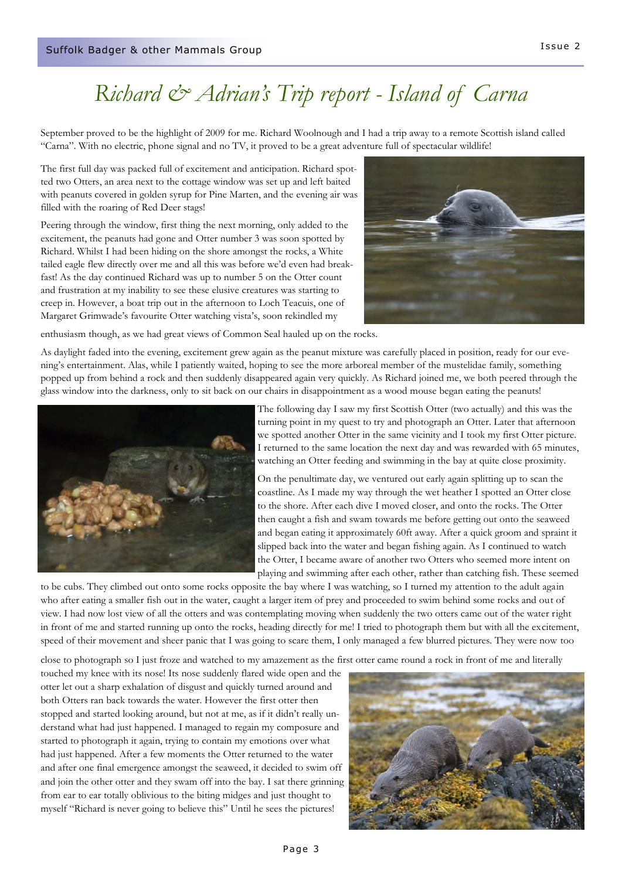# *Richard & Adrian's Trip report - Island of Carna*

September proved to be the highlight of 2009 for me. Richard Woolnough and I had a trip away to a remote Scottish island called "Carna". With no electric, phone signal and no TV, it proved to be a great adventure full of spectacular wildlife!

The first full day was packed full of excitement and anticipation. Richard spotted two Otters, an area next to the cottage window was set up and left baited with peanuts covered in golden syrup for Pine Marten, and the evening air was filled with the roaring of Red Deer stags!

Peering through the window, first thing the next morning, only added to the excitement, the peanuts had gone and Otter number 3 was soon spotted by Richard. Whilst I had been hiding on the shore amongst the rocks, a White tailed eagle flew directly over me and all this was before we'd even had breakfast! As the day continued Richard was up to number 5 on the Otter count and frustration at my inability to see these elusive creatures was starting to creep in. However, a boat trip out in the afternoon to Loch Teacuis, one of Margaret Grimwade's favourite Otter watching vista's, soon rekindled my



enthusiasm though, as we had great views of Common Seal hauled up on the rocks.

As daylight faded into the evening, excitement grew again as the peanut mixture was carefully placed in position, ready for our evening's entertainment. Alas, while I patiently waited, hoping to see the more arboreal member of the mustelidae family, something popped up from behind a rock and then suddenly disappeared again very quickly. As Richard joined me, we both peered through the glass window into the darkness, only to sit back on our chairs in disappointment as a wood mouse began eating the peanuts!



The following day I saw my first Scottish Otter (two actually) and this was the turning point in my quest to try and photograph an Otter. Later that afternoon we spotted another Otter in the same vicinity and I took my first Otter picture. I returned to the same location the next day and was rewarded with 65 minutes, watching an Otter feeding and swimming in the bay at quite close proximity.

On the penultimate day, we ventured out early again splitting up to scan the coastline. As I made my way through the wet heather I spotted an Otter close to the shore. After each dive I moved closer, and onto the rocks. The Otter then caught a fish and swam towards me before getting out onto the seaweed and began eating it approximately 60ft away. After a quick groom and spraint it slipped back into the water and began fishing again. As I continued to watch the Otter, I became aware of another two Otters who seemed more intent on playing and swimming after each other, rather than catching fish. These seemed

to be cubs. They climbed out onto some rocks opposite the bay where I was watching, so I turned my attention to the adult again who after eating a smaller fish out in the water, caught a larger item of prey and proceeded to swim behind some rocks and out of view. I had now lost view of all the otters and was contemplating moving when suddenly the two otters came out of the water right in front of me and started running up onto the rocks, heading directly for me! I tried to photograph them but with all the excitement, speed of their movement and sheer panic that I was going to scare them, I only managed a few blurred pictures. They were now too

close to photograph so I just froze and watched to my amazement as the first otter came round a rock in front of me and literally

touched my knee with its nose! Its nose suddenly flared wide open and the otter let out a sharp exhalation of disgust and quickly turned around and both Otters ran back towards the water. However the first otter then stopped and started looking around, but not at me, as if it didn't really understand what had just happened. I managed to regain my composure and started to photograph it again, trying to contain my emotions over what had just happened. After a few moments the Otter returned to the water and after one final emergence amongst the seaweed, it decided to swim off and join the other otter and they swam off into the bay. I sat there grinning from ear to ear totally oblivious to the biting midges and just thought to myself "Richard is never going to believe this" Until he sees the pictures!